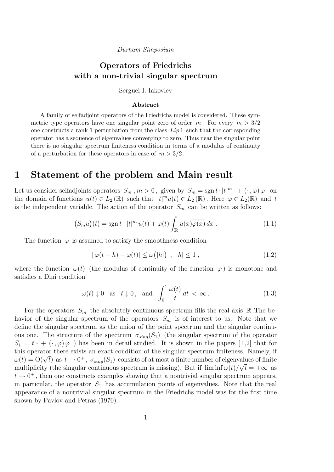### Durham Simposium

## Operators of Friedrichs with a non-trivial singular spectrum

Serguei I. Iakovlev

### Abstract

A family of selfadjoint operators of the Friedrichs model is considered. These symmetric type operators have one singular point zero of order m. For every  $m > 3/2$ one constructs a rank 1 perturbation from the class  $Lip<sub>1</sub>$  such that the corresponding operator has a sequence of eigenvalues converging to zero. Thus near the singular point there is no singular spectrum finiteness condition in terms of a modulus of continuity of a perturbation for these operators in case of  $m > 3/2$ .

## 1 Statement of the problem and Main result

Let us consider selfadjoints operators  $S_m$ ,  $m > 0$ , given by  $S_m = \text{sgn} t \cdot |t|^m \cdot + (\cdot, \varphi) \varphi$  on the domain of functions  $u(t) \in L_2(\mathbb{R})$  such that  $|t|^m u(t) \in L_2(\mathbb{R})$ . Here  $\varphi \in L_2(\mathbb{R})$  and t is the independent variable. The action of the operator  $S_m$  can be written as follows:

$$
(S_m u)(t) = \operatorname{sgn} t \cdot |t|^m u(t) + \varphi(t) \int_{\mathbf{R}} u(x) \overline{\varphi(x)} dx . \qquad (1.1)
$$

The function  $\varphi$  is assumed to satisfy the smoothness condition

$$
|\varphi(t+h) - \varphi(t)| \le \omega(|h|) , |h| \le 1 , \qquad (1.2)
$$

where the function  $\omega(t)$  (the modulus of continuity of the function  $\varphi$ ) is monotone and satisfies a Dini condition

$$
\omega(t) \downarrow 0 \quad \text{as} \quad t \downarrow 0 \,, \quad \text{and} \quad \int_0^1 \frac{\omega(t)}{t} \, dt < \infty \,. \tag{1.3}
$$

For the operators  $S_m$  the absolutely continuous spectrum fills the real axis R. The behavior of the singular spectrum of the operators  $S_m$  is of interest to us. Note that we define the singular spectrum as the union of the point spectrum and the singular continuous one. The structure of the spectrum  $\sigma_{sing}(S_1)$  (the singular spectrum of the operator  $S_1 = t \cdot + (\cdot, \varphi) \varphi$  ) has been in detail studied. It is shown in the papers [1,2] that for this operator there exists an exact condition of the singular spectrum finiteness. Namely, if this operator there exists an exact condition of the singular spectrum initialises. Namely, if  $\omega(t) = O(\sqrt{t})$  as  $t \to 0^+$ ,  $\sigma_{sing}(S_1)$  consists of at most a finite number of eigenvalues of finite multiplicity (the singular continuous spectrum is missing). But if  $\liminf \omega(t)/\sqrt{t} = +\infty$  as  $t \to 0^+$ , then one constructs examples showing that a nontrivial singular spectrum appears, in particular, the operator  $S_1$  has accumulation points of eigenvalues. Note that the real appearance of a nontrivial singular spectrum in the Friedrichs model was for the first time shown by Pavlov and Petras (1970).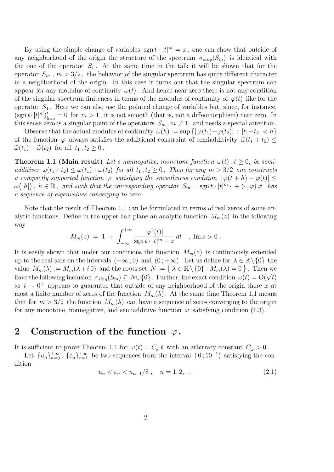By using the simple change of variables  $\text{sgn } t \cdot |t|^m = x$ , one can show that outside of any neighborhood of the origin the structure of the spectrum  $\sigma_{sing}(S_m)$  is identical with the one of the operator  $S_1$ . At the same time in the talk it will be shown that for the operator  $S_m$ ,  $m > 3/2$ , the behavior of the singular spectrum has quite different character in a neighborhood of the origin. In this case it turns out that the singular spectrum can appear for any modulus of continuity  $\omega(t)$ . And hence near zero there is not any condition of the singular spectrum finiteness in terms of the modulus of continuity of  $\varphi(t)$  like for the operator  $S_1$ . Here we can also use the pointed change of variables but, since, for instance,  $(\operatorname{sgn} t \cdot |t|^m)_{|_{t=0}}' = 0$  for  $m > 1$ , it is not smooth (that is, not a diffeomorphism) near zero. In this sense zero is a singular point of the operators  $S_m$ ,  $m \neq 1$ , and needs a special attention.

Observe that the actual modulus of continuity  $\tilde{\omega}(h) := \sup \{ |\varphi(t_1) - \varphi(t_2)| : |t_1 - t_2| < h \}$ of the function  $\varphi$  always satisfies the additional constraint of semiadditivity  $\tilde{\omega}(t_1 + t_2) \leq$  $\widetilde{\omega}(t_1) + \widetilde{\omega}(t_2)$  for all  $t_1, t_2 \geq 0$ .

**Theorem 1.1 (Main result)** Let a nonnegative, monotone function  $\omega(t)$ ,  $t \geq 0$ , be semiadditive:  $\omega(t_1+t_2) \leq \omega(t_1)+\omega(t_2)$  for all  $t_1, t_2 \geq 0$ . Then for any  $m > 3/2$  one constructs a compactly supported function  $\varphi$  satisfying the smoothness condition  $|\varphi(t+h) - \varphi(t)| \leq$  $\omega(|h|)$ ,  $h \in \mathbb{R}$ , and such that the corresponding operator  $S_m = \text{sgn}\, t \cdot |t|^m \cdot + (\cdot, \varphi) \varphi$  has a sequence of eigenvalues converging to zero.

Note that the result of Theorem 1.1 can be formulated in terms of real zeros of some analytic functions. Define in the upper half plane an analytic function  $M_m(z)$  in the following way

$$
M_m(z) = 1 + \int_{-\infty}^{+\infty} \frac{|\varphi^2(t)|}{\text{sgn}\, t \cdot |t|^m - z} dt \quad , \text{ Im } z > 0 \, .
$$

It is easily shown that under our conditions the function  $M_m(z)$  is continuously extended up to the real axis on the intervals  $(-\infty, 0)$  and  $(0, +\infty)$ . Let us define for  $\lambda \in \mathbb{R} \setminus \{0\}$  the value  $M_m(\lambda) := M_m(\lambda + i\,0)$  and the roots set  $N := \{ \lambda \in \mathbb{R} \setminus \{0\} : M_m(\lambda) = 0 \}$ . Then we have the following inclusion  $\sigma_{sing}(S_m) \subseteq N \cup \{0\}$ . Further, the exact condition  $\omega(t) = O(\sqrt{t})$ as  $t \to 0^+$  appears to guarantee that outside of any neighborhood of the origin there is at most a finite number of zeros of the function  $M_m(\lambda)$ . At the same time Theorem 1.1 means that for  $m > 3/2$  the function  $M_m(\lambda)$  can have a sequence of zeros converging to the origin for any monotone, nonnegative, and semiadditive function  $\omega$  satisfying condition (1.3).

# 2 Construction of the function  $\varphi$ .

It is sufficient to prove Theorem 1.1 for  $\omega(t) = C_{\omega} t$  with an arbitrary constant  $C_{\omega} > 0$ .

Let  ${u_n}_{n=0}^{+\infty}$ ,  ${\varepsilon_n}_{n=1}^{+\infty}$  be two sequences from the interval  $(0, 10^{-1})$  satisfying the condition

$$
u_n < \varepsilon_n < u_{n-1}/8 \;, \quad n = 1, 2, \ldots \tag{2.1}
$$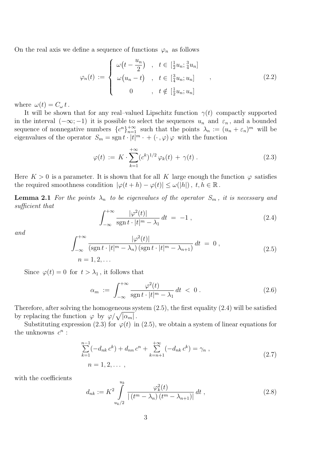On the real axis we define a sequence of functions  $\varphi_n$  as follows

$$
\varphi_n(t) := \begin{cases}\n\omega\left(t - \frac{u_n}{2}\right) , & t \in \left[\frac{1}{2}u_n; \frac{3}{4}u_n\right] \\
\omega\left(u_n - t\right) , & t \in \left[\frac{3}{4}u_n; u_n\right] \\
0 , & t \notin \left[\frac{1}{2}u_n; u_n\right]\n\end{cases}
$$
\n(2.2)

where  $\omega(t) = C_{\omega} t$ .

It will be shown that for any real–valued Lipschitz function  $\gamma(t)$  compactly supported in the interval  $(-\infty, -1)$  it is possible to select the sequences  $u_n$  and  $\varepsilon_n$ , and a bounded sequence of nonnegative numbers  ${c^n}_{n=1}^{\infty}$  such that the points  $\lambda_n := (u_n + \varepsilon_n)^m$  will be eigenvalues of the operator  $S_m = \text{sgn} t \cdot |t|^m \cdot + (\cdot, \varphi) \varphi$  with the function

$$
\varphi(t) := K \cdot \sum_{k=1}^{+\infty} (c^k)^{1/2} \varphi_k(t) + \gamma(t) \,. \tag{2.3}
$$

Here  $K > 0$  is a parameter. It is shown that for all K large enough the function  $\varphi$  satisfies the required smoothness condition  $|\varphi(t+h) - \varphi(t)| \leq \omega(|h|)$ ,  $t, h \in \mathbb{R}$ .

**Lemma 2.1** For the points  $\lambda_n$  to be eigenvalues of the operator  $S_m$ , it is necessary and sufficient that

$$
\int_{-\infty}^{+\infty} \frac{|\varphi^2(t)|}{\operatorname{sgn} t \cdot |t|^m - \lambda_1} dt = -1 , \qquad (2.4)
$$

and

$$
\int_{-\infty}^{+\infty} \frac{|\varphi^2(t)|}{(\operatorname{sgn} t \cdot |t|^m - \lambda_n) (\operatorname{sgn} t \cdot |t|^m - \lambda_{n+1})} dt = 0,
$$
\n
$$
n = 1, 2, \dots
$$
\n(2.5)

Since  $\varphi(t) = 0$  for  $t > \lambda_1$ , it follows that

$$
\alpha_m := \int_{-\infty}^{+\infty} \frac{\varphi^2(t)}{\operatorname{sgn} t \cdot |t|^m - \lambda_1} dt < 0 \,. \tag{2.6}
$$

Therefore, after solving the homogeneous system (2.5), the first equality (2.4) will be satisfied by replacing the function  $\varphi$  by  $\varphi/\sqrt{|\alpha_m|}$ .

Substituting expression (2.3) for  $\varphi(t)$  in (2.5), we obtain a system of linear equations for the unknowns  $c^n$ :

$$
\sum_{k=1}^{n-1} (-d_{nk} c^k) + d_{nn} c^n + \sum_{k=n+1}^{+\infty} (-d_{nk} c^k) = \gamma_n ,
$$
\n
$$
n = 1, 2, ...,
$$
\n(2.7)

with the coefficients

$$
d_{nk} := K^2 \int_{u_k/2}^{u_k} \frac{\varphi_k^2(t)}{|(t^m - \lambda_n)(t^m - \lambda_{n+1})|} dt , \qquad (2.8)
$$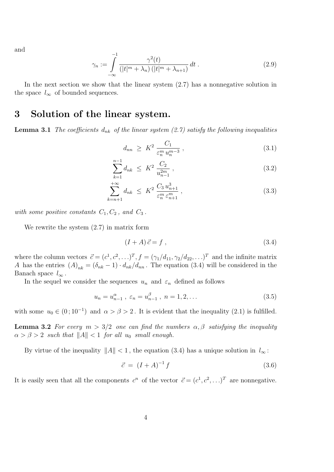and

$$
\gamma_n := \int_{-\infty}^{-1} \frac{\gamma^2(t)}{(|t|^m + \lambda_n) \, (|t|^m + \lambda_{n+1})} \, dt \,. \tag{2.9}
$$

In the next section we show that the linear system  $(2.7)$  has a nonnegative solution in the space  $l_{\infty}$  of bounded sequences.

## 3 Solution of the linear system.

**Lemma 3.1** The coefficients  $d_{nk}$  of the linear system (2.7) satisfy the following inequalities

$$
d_{nn} \geq K^2 \frac{C_1}{\varepsilon_n^m u_n^{m-3}}, \tag{3.1}
$$

$$
\sum_{k=1}^{n-1} d_{nk} \le K^2 \frac{C_2}{u_{n-1}^{2m}}, \qquad (3.2)
$$

$$
\sum_{k=n+1}^{+\infty} d_{nk} \leq K^2 \frac{C_3 u_{n+1}^3}{\varepsilon_n^m \varepsilon_{n+1}^m} ,\qquad (3.3)
$$

with some positive constants  $C_1, C_2$ , and  $C_3$ .

We rewrite the system (2.7) in matrix form

$$
(I + A)\,\vec{c} = f\,,\tag{3.4}
$$

where the column vectors  $\vec{c} = (c^1, c^2, \ldots)^T$ ,  $f = (\gamma_1/d_{11}, \gamma_2/d_{22}, \ldots)^T$  and the infinite matrix A has the entries  $(A)_{nk} = (\delta_{nk} - 1) \cdot d_{nk}/d_{nn}$ . The equation (3.4) will be considered in the Banach space  $l_{\infty}$ .

In the sequel we consider the sequences  $u_n$  and  $\varepsilon_n$  defined as follows

$$
u_n = u_{n-1}^{\alpha}, \ \varepsilon_n = u_{n-1}^{\beta}, \ n = 1, 2, \dots \tag{3.5}
$$

with some  $u_0 \in (0, 10^{-1})$  and  $\alpha > \beta > 2$ . It is evident that the inequality (2.1) is fulfilled.

**Lemma 3.2** For every  $m > 3/2$  one can find the numbers  $\alpha, \beta$  satisfying the inequality  $\alpha > \beta > 2$  such that  $||A|| < 1$  for all  $u_0$  small enough.

By virtue of the inequality  $||A|| < 1$ , the equation (3.4) has a unique solution in  $l_{\infty}$ :

$$
\vec{c} = (I + A)^{-1} f \tag{3.6}
$$

It is easily seen that all the components  $c^n$  of the vector  $\vec{c} = (c^1, c^2, \ldots)^T$  are nonnegative.